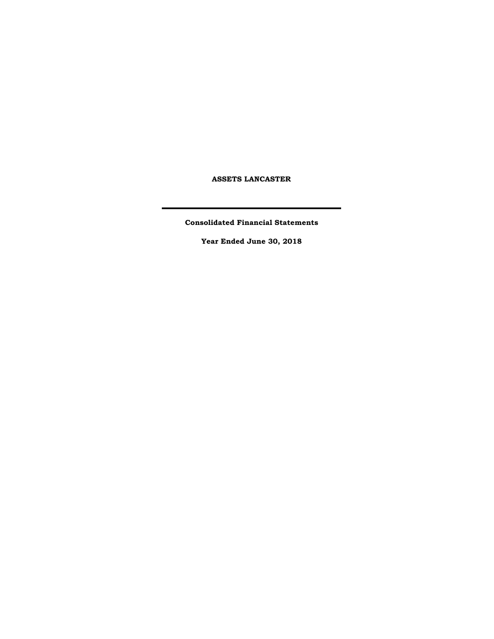**ASSETS LANCASTER**

**Consolidated Financial Statements**

**Year Ended June 30, 2018**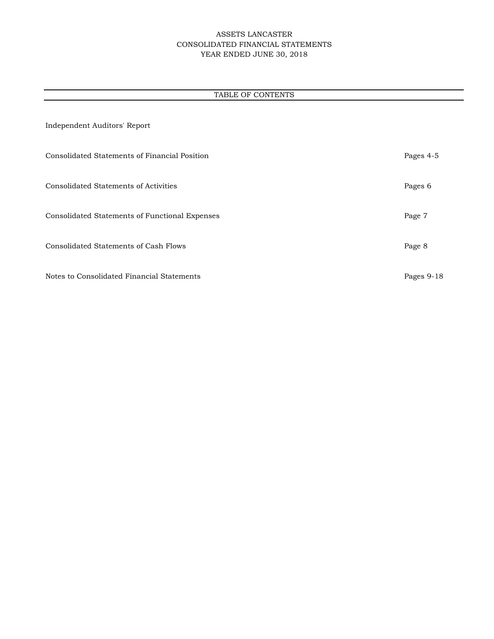# ASSETS LANCASTER CONSOLIDATED FINANCIAL STATEMENTS YEAR ENDED JUNE 30, 2018

# TABLE OF CONTENTS

| Independent Auditors' Report                   |            |
|------------------------------------------------|------------|
| Consolidated Statements of Financial Position  | Pages 4-5  |
| Consolidated Statements of Activities          | Pages 6    |
| Consolidated Statements of Functional Expenses | Page 7     |
| Consolidated Statements of Cash Flows          | Page 8     |
| Notes to Consolidated Financial Statements     | Pages 9-18 |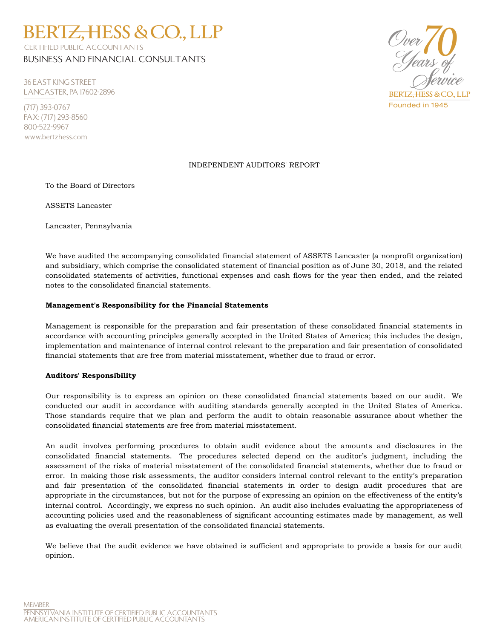CERTIFIED PUBLIC ACCOUNTANTS BUSINESS AND FINANCIAL CONSULTANTS

**BERTZ, HESS & CO., LLP** 

36 EAST KING STREET LANCASTER, PA 17602-2896

(717) 393-0767 FAX: (717) 293-8560 800-522-9967 www.bertzhess.com



# INDEPENDENT AUDITORS' REPORT

To the Board of Directors

ASSETS Lancaster

Lancaster, Pennsylvania

We have audited the accompanying consolidated financial statement of ASSETS Lancaster (a nonprofit organization) and subsidiary, which comprise the consolidated statement of financial position as of June 30, 2018, and the related consolidated statements of activities, functional expenses and cash flows for the year then ended, and the related notes to the consolidated financial statements.

## **Management's Responsibility for the Financial Statements**

Management is responsible for the preparation and fair presentation of these consolidated financial statements in accordance with accounting principles generally accepted in the United States of America; this includes the design, implementation and maintenance of internal control relevant to the preparation and fair presentation of consolidated financial statements that are free from material misstatement, whether due to fraud or error.

### **Auditors' Responsibility**

Our responsibility is to express an opinion on these consolidated financial statements based on our audit. We conducted our audit in accordance with auditing standards generally accepted in the United States of America. Those standards require that we plan and perform the audit to obtain reasonable assurance about whether the consolidated financial statements are free from material misstatement.

An audit involves performing procedures to obtain audit evidence about the amounts and disclosures in the consolidated financial statements. The procedures selected depend on the auditor's judgment, including the assessment of the risks of material misstatement of the consolidated financial statements, whether due to fraud or error. In making those risk assessments, the auditor considers internal control relevant to the entity's preparation and fair presentation of the consolidated financial statements in order to design audit procedures that are appropriate in the circumstances, but not for the purpose of expressing an opinion on the effectiveness of the entity's internal control. Accordingly, we express no such opinion. An audit also includes evaluating the appropriateness of accounting policies used and the reasonableness of significant accounting estimates made by management, as well as evaluating the overall presentation of the consolidated financial statements.

We believe that the audit evidence we have obtained is sufficient and appropriate to provide a basis for our audit opinion.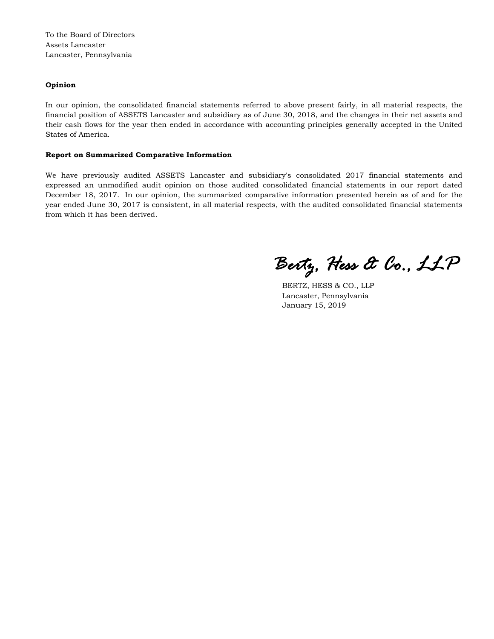To the Board of Directors Assets Lancaster Lancaster, Pennsylvania

### **Opinion**

In our opinion, the consolidated financial statements referred to above present fairly, in all material respects, the financial position of ASSETS Lancaster and subsidiary as of June 30, 2018, and the changes in their net assets and their cash flows for the year then ended in accordance with accounting principles generally accepted in the United States of America.

#### **Report on Summarized Comparative Information**

We have previously audited ASSETS Lancaster and subsidiary's consolidated 2017 financial statements and expressed an unmodified audit opinion on those audited consolidated financial statements in our report dated December 18, 2017. In our opinion, the summarized comparative information presented herein as of and for the year ended June 30, 2017 is consistent, in all material respects, with the audited consolidated financial statements from which it has been derived.

*Bertz, Hess & Co., LLP*

BERTZ, HESS & CO., LLP Lancaster, Pennsylvania January 15, 2019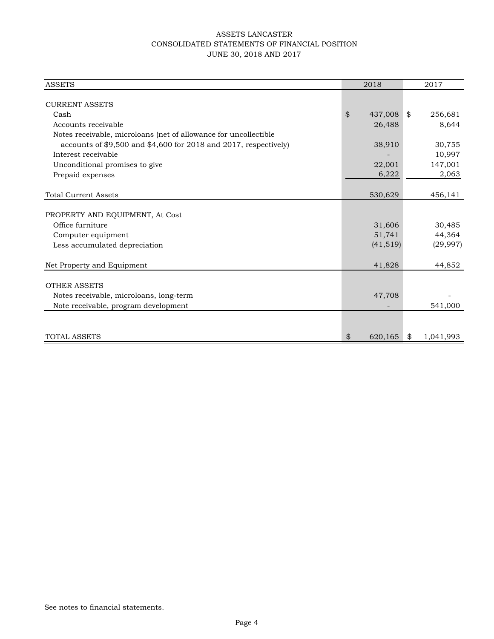## ASSETS LANCASTER CONSOLIDATED STATEMENTS OF FINANCIAL POSITION JUNE 30, 2018 AND 2017

| <b>ASSETS</b>                                                    | 2018          | 2017            |
|------------------------------------------------------------------|---------------|-----------------|
|                                                                  |               |                 |
| <b>CURRENT ASSETS</b>                                            |               |                 |
| Cash                                                             | \$<br>437,008 | \$<br>256,681   |
| Accounts receivable                                              | 26,488        | 8,644           |
| Notes receivable, microloans (net of allowance for uncollectible |               |                 |
| accounts of \$9,500 and \$4,600 for 2018 and 2017, respectively) | 38,910        | 30,755          |
| Interest receivable                                              |               | 10,997          |
| Unconditional promises to give                                   | 22,001        | 147,001         |
| Prepaid expenses                                                 | 6,222         | 2,063           |
|                                                                  |               |                 |
| <b>Total Current Assets</b>                                      | 530,629       | 456,141         |
|                                                                  |               |                 |
| PROPERTY AND EQUIPMENT, At Cost                                  |               |                 |
| Office furniture                                                 | 31,606        | 30,485          |
| Computer equipment                                               | 51,741        | 44,364          |
| Less accumulated depreciation                                    | (41, 519)     | (29, 997)       |
|                                                                  |               |                 |
| Net Property and Equipment                                       | 41,828        | 44,852          |
|                                                                  |               |                 |
| <b>OTHER ASSETS</b>                                              |               |                 |
| Notes receivable, microloans, long-term                          | 47,708        |                 |
| Note receivable, program development                             |               | 541,000         |
|                                                                  |               |                 |
| <b>TOTAL ASSETS</b>                                              | \$<br>620,165 | \$<br>1,041,993 |
|                                                                  |               |                 |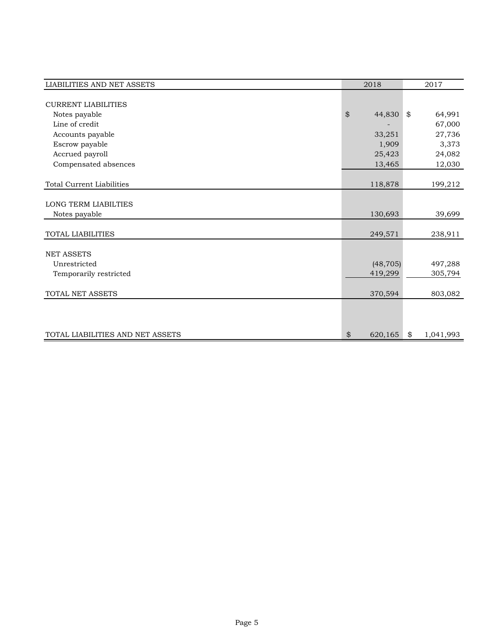| <b>LIABILITIES AND NET ASSETS</b> | 2018          | 2017            |  |
|-----------------------------------|---------------|-----------------|--|
|                                   |               |                 |  |
| <b>CURRENT LIABILITIES</b>        |               |                 |  |
| Notes payable                     | \$<br>44,830  | \$<br>64,991    |  |
| Line of credit                    |               | 67,000          |  |
| Accounts payable                  | 33,251        | 27,736          |  |
| Escrow payable                    | 1,909         | 3,373           |  |
| Accrued payroll                   | 25,423        | 24,082          |  |
| Compensated absences              | 13,465        | 12,030          |  |
|                                   |               |                 |  |
| <b>Total Current Liabilities</b>  | 118,878       | 199,212         |  |
|                                   |               |                 |  |
| LONG TERM LIABILTIES              |               |                 |  |
| Notes payable                     | 130,693       | 39,699          |  |
|                                   |               |                 |  |
| TOTAL LIABILITIES                 | 249,571       | 238,911         |  |
|                                   |               |                 |  |
| <b>NET ASSETS</b>                 |               |                 |  |
| Unrestricted                      | (48, 705)     | 497,288         |  |
| Temporarily restricted            | 419,299       | 305,794         |  |
|                                   |               |                 |  |
| TOTAL NET ASSETS                  | 370,594       | 803,082         |  |
|                                   |               |                 |  |
|                                   |               |                 |  |
|                                   |               |                 |  |
| TOTAL LIABILITIES AND NET ASSETS  | \$<br>620,165 | \$<br>1,041,993 |  |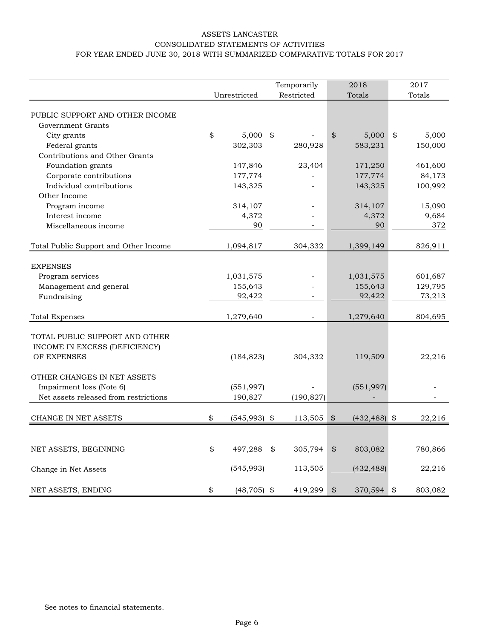## ASSETS LANCASTER CONSOLIDATED STATEMENTS OF ACTIVITIES FOR YEAR ENDED JUNE 30, 2018 WITH SUMMARIZED COMPARATIVE TOTALS FOR 2017

|                                       |                      | Temporarily   |                                        | 2018            | 2017          |
|---------------------------------------|----------------------|---------------|----------------------------------------|-----------------|---------------|
|                                       | Unrestricted         | Restricted    |                                        | Totals          | Totals        |
| PUBLIC SUPPORT AND OTHER INCOME       |                      |               |                                        |                 |               |
| Government Grants                     |                      |               |                                        |                 |               |
| City grants                           | \$<br>5,000          | \$            | \$                                     | 5,000           | \$<br>5,000   |
| Federal grants                        | 302,303              | 280,928       |                                        | 583,231         | 150,000       |
| Contributions and Other Grants        |                      |               |                                        |                 |               |
| Foundation grants                     | 147,846              | 23,404        |                                        | 171,250         | 461,600       |
| Corporate contributions               | 177,774              |               |                                        | 177,774         | 84,173        |
| Individual contributions              | 143,325              |               |                                        | 143,325         | 100,992       |
| Other Income                          |                      |               |                                        |                 |               |
| Program income                        | 314,107              |               |                                        | 314,107         | 15,090        |
| Interest income                       | 4,372                |               |                                        | 4,372           | 9,684         |
| Miscellaneous income                  | 90                   |               |                                        | 90              | 372           |
|                                       |                      |               |                                        |                 |               |
| Total Public Support and Other Income | 1,094,817            | 304,332       |                                        | 1,399,149       | 826,911       |
|                                       |                      |               |                                        |                 |               |
| <b>EXPENSES</b>                       |                      |               |                                        |                 |               |
| Program services                      | 1,031,575            |               |                                        | 1,031,575       | 601,687       |
| Management and general                | 155,643              |               |                                        | 155,643         | 129,795       |
| Fundraising                           | 92,422               |               |                                        | 92,422          | 73,213        |
| <b>Total Expenses</b>                 | 1,279,640            |               |                                        | 1,279,640       | 804,695       |
|                                       |                      |               |                                        |                 |               |
| TOTAL PUBLIC SUPPORT AND OTHER        |                      |               |                                        |                 |               |
| INCOME IN EXCESS (DEFICIENCY)         |                      |               |                                        |                 |               |
| OF EXPENSES                           | (184, 823)           | 304,332       |                                        | 119,509         | 22,216        |
|                                       |                      |               |                                        |                 |               |
| OTHER CHANGES IN NET ASSETS           |                      |               |                                        |                 |               |
| Impairment loss (Note 6)              | (551, 997)           |               |                                        | (551, 997)      |               |
| Net assets released from restrictions | 190,827              | (190, 827)    |                                        |                 |               |
| CHANGE IN NET ASSETS                  | \$<br>$(545,993)$ \$ | 113,505       | $\boldsymbol{\boldsymbol{\hat{\psi}}}$ | $(432, 488)$ \$ | 22,216        |
|                                       |                      |               |                                        |                 |               |
|                                       |                      |               |                                        |                 |               |
| NET ASSETS, BEGINNING                 | \$<br>497,288        | \$<br>305,794 | $\boldsymbol{\mathcal{L}}$             | 803,082         | 780,866       |
| Change in Net Assets                  | (545, 993)           | 113,505       |                                        | (432, 488)      | 22,216        |
|                                       |                      |               |                                        |                 |               |
| NET ASSETS, ENDING                    | \$<br>$(48, 705)$ \$ | 419,299       | \$                                     | 370,594         | \$<br>803,082 |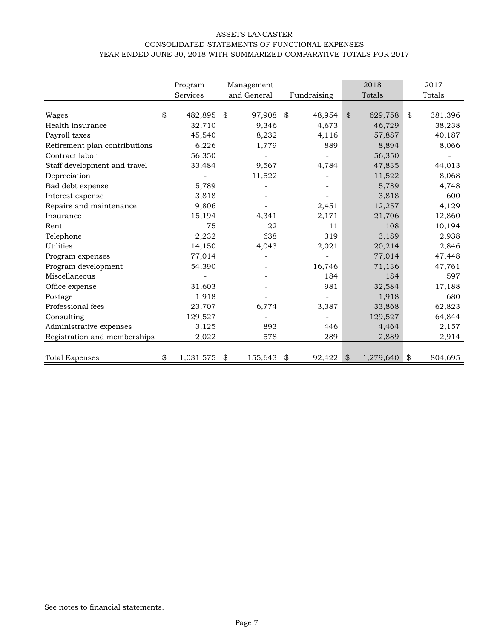# ASSETS LANCASTER CONSOLIDATED STATEMENTS OF FUNCTIONAL EXPENSES YEAR ENDED JUNE 30, 2018 WITH SUMMARIZED COMPARATIVE TOTALS FOR 2017

|                               | Program         | Management    |              |                            | 2018      | 2017          |
|-------------------------------|-----------------|---------------|--------------|----------------------------|-----------|---------------|
|                               | Services        | and General   | Fundraising  |                            | Totals    | Totals        |
|                               |                 |               |              |                            |           |               |
| Wages                         | \$<br>482,895   | \$<br>97,908  | \$<br>48,954 | $\boldsymbol{\mathcal{L}}$ | 629,758   | \$<br>381,396 |
| Health insurance              | 32,710          | 9,346         | 4,673        |                            | 46,729    | 38,238        |
| Payroll taxes                 | 45,540          | 8,232         | 4,116        |                            | 57,887    | 40,187        |
| Retirement plan contributions | 6,226           | 1,779         | 889          |                            | 8,894     | 8,066         |
| Contract labor                | 56,350          |               |              |                            | 56,350    |               |
| Staff development and travel  | 33,484          | 9,567         | 4,784        |                            | 47,835    | 44,013        |
| Depreciation                  |                 | 11,522        |              |                            | 11,522    | 8,068         |
| Bad debt expense              | 5,789           |               |              |                            | 5,789     | 4,748         |
| Interest expense              | 3,818           |               |              |                            | 3,818     | 600           |
| Repairs and maintenance       | 9,806           |               | 2,451        |                            | 12,257    | 4,129         |
| Insurance                     | 15,194          | 4,341         | 2,171        |                            | 21,706    | 12,860        |
| Rent                          | 75              | 22            | 11           |                            | 108       | 10,194        |
| Telephone                     | 2,232           | 638           | 319          |                            | 3,189     | 2,938         |
| Utilities                     | 14,150          | 4,043         | 2,021        |                            | 20,214    | 2,846         |
| Program expenses              | 77,014          |               |              |                            | 77,014    | 47,448        |
| Program development           | 54,390          |               | 16,746       |                            | 71,136    | 47,761        |
| Miscellaneous                 |                 |               | 184          |                            | 184       | 597           |
| Office expense                | 31,603          |               | 981          |                            | 32,584    | 17,188        |
| Postage                       | 1,918           |               |              |                            | 1,918     | 680           |
| Professional fees             | 23,707          | 6,774         | 3,387        |                            | 33,868    | 62,823        |
| Consulting                    | 129,527         |               |              |                            | 129,527   | 64,844        |
| Administrative expenses       | 3,125           | 893           | 446          |                            | 4,464     | 2,157         |
| Registration and memberships  | 2,022           | 578           | 289          |                            | 2,889     | 2,914         |
|                               |                 |               |              |                            |           |               |
| <b>Total Expenses</b>         | \$<br>1,031,575 | \$<br>155,643 | \$<br>92,422 | \$                         | 1,279,640 | \$<br>804,695 |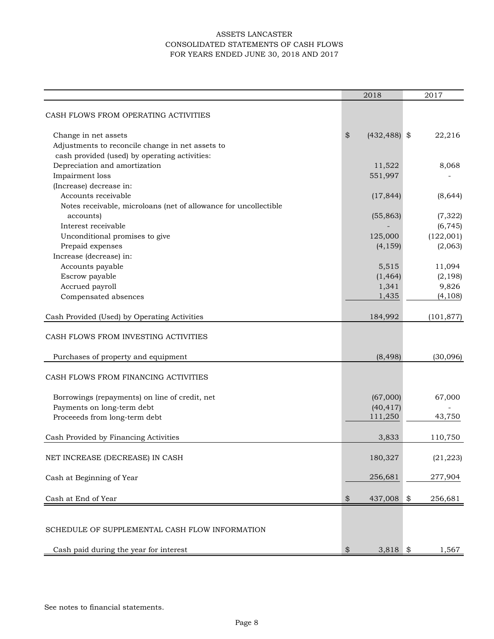## ASSETS LANCASTER CONSOLIDATED STATEMENTS OF CASH FLOWS FOR YEARS ENDED JUNE 30, 2018 AND 2017

|                                                                  | 2018                  | 2017          |
|------------------------------------------------------------------|-----------------------|---------------|
| CASH FLOWS FROM OPERATING ACTIVITIES                             |                       |               |
| Change in net assets                                             | \$<br>$(432, 488)$ \$ | 22,216        |
| Adjustments to reconcile change in net assets to                 |                       |               |
| cash provided (used) by operating activities:                    |                       |               |
| Depreciation and amortization                                    | 11,522                | 8,068         |
| Impairment loss                                                  | 551,997               |               |
| (Increase) decrease in:                                          |                       |               |
| Accounts receivable                                              | (17, 844)             | (8,644)       |
| Notes receivable, microloans (net of allowance for uncollectible |                       |               |
| accounts)                                                        | (55, 863)             | (7, 322)      |
| Interest receivable                                              |                       | (6, 745)      |
| Unconditional promises to give                                   | 125,000               | (122,001)     |
| Prepaid expenses                                                 | (4, 159)              | (2,063)       |
| Increase (decrease) in:                                          |                       |               |
| Accounts payable                                                 | 5,515                 | 11,094        |
| Escrow payable                                                   | (1, 464)              | (2, 198)      |
| Accrued payroll                                                  | 1,341                 | 9,826         |
| Compensated absences                                             | 1,435                 | (4, 108)      |
|                                                                  |                       |               |
| Cash Provided (Used) by Operating Activities                     | 184,992               | (101, 877)    |
| CASH FLOWS FROM INVESTING ACTIVITIES                             |                       |               |
| Purchases of property and equipment                              | (8, 498)              | (30,096)      |
| CASH FLOWS FROM FINANCING ACTIVITIES                             |                       |               |
| Borrowings (repayments) on line of credit, net                   | (67,000)              | 67,000        |
| Payments on long-term debt                                       | (40, 417)             |               |
| Proceeeds from long-term debt                                    | 111,250               | 43,750        |
|                                                                  |                       |               |
| Cash Provided by Financing Activities                            | 3,833                 | 110,750       |
| NET INCREASE (DECREASE) IN CASH                                  | 180,327               | (21, 223)     |
| Cash at Beginning of Year                                        | 256,681               | 277,904       |
| Cash at End of Year                                              | \$<br>437,008         | \$<br>256,681 |
|                                                                  |                       |               |
| SCHEDULE OF SUPPLEMENTAL CASH FLOW INFORMATION                   |                       |               |
| Cash paid during the year for interest                           | \$<br>3,818 \$        | 1,567         |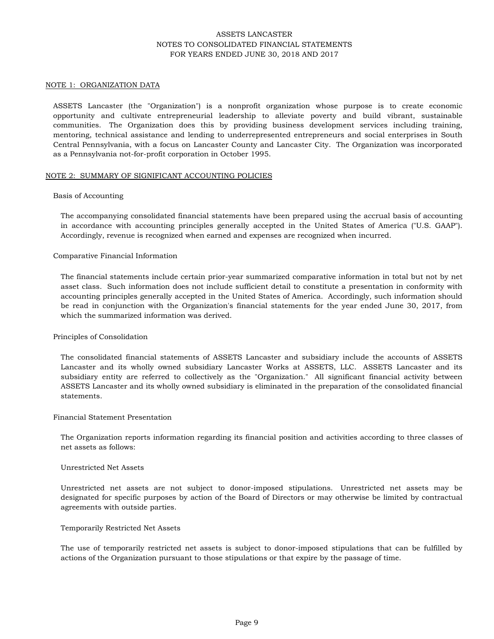#### NOTE 1: ORGANIZATION DATA

ASSETS Lancaster (the "Organization") is a nonprofit organization whose purpose is to create economic opportunity and cultivate entrepreneurial leadership to alleviate poverty and build vibrant, sustainable communities. The Organization does this by providing business development services including training, mentoring, technical assistance and lending to underrepresented entrepreneurs and social enterprises in South Central Pennsylvania, with a focus on Lancaster County and Lancaster City. The Organization was incorporated as a Pennsylvania not-for-profit corporation in October 1995.

#### NOTE 2: SUMMARY OF SIGNIFICANT ACCOUNTING POLICIES

### Basis of Accounting

The accompanying consolidated financial statements have been prepared using the accrual basis of accounting in accordance with accounting principles generally accepted in the United States of America ("U.S. GAAP"). Accordingly, revenue is recognized when earned and expenses are recognized when incurred.

### Comparative Financial Information

The financial statements include certain prior-year summarized comparative information in total but not by net asset class. Such information does not include sufficient detail to constitute a presentation in conformity with accounting principles generally accepted in the United States of America. Accordingly, such information should be read in conjunction with the Organization's financial statements for the year ended June 30, 2017, from which the summarized information was derived.

## Principles of Consolidation

The consolidated financial statements of ASSETS Lancaster and subsidiary include the accounts of ASSETS Lancaster and its wholly owned subsidiary Lancaster Works at ASSETS, LLC. ASSETS Lancaster and its subsidiary entity are referred to collectively as the "Organization." All significant financial activity between ASSETS Lancaster and its wholly owned subsidiary is eliminated in the preparation of the consolidated financial statements.

### Financial Statement Presentation

The Organization reports information regarding its financial position and activities according to three classes of net assets as follows:

#### Unrestricted Net Assets

Unrestricted net assets are not subject to donor-imposed stipulations. Unrestricted net assets may be designated for specific purposes by action of the Board of Directors or may otherwise be limited by contractual agreements with outside parties.

#### Temporarily Restricted Net Assets

The use of temporarily restricted net assets is subject to donor-imposed stipulations that can be fulfilled by actions of the Organization pursuant to those stipulations or that expire by the passage of time.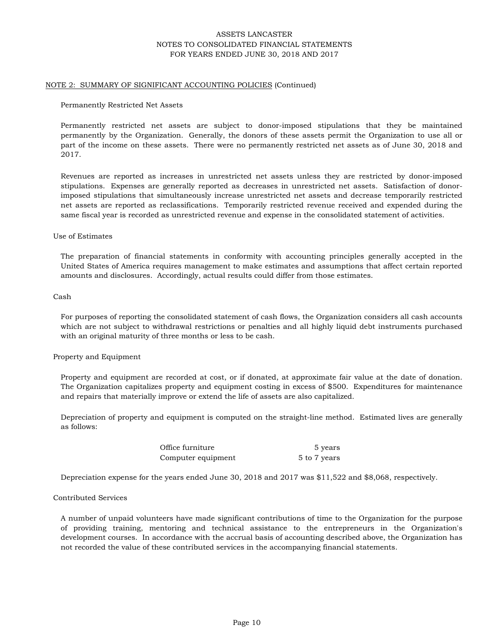#### NOTE 2: SUMMARY OF SIGNIFICANT ACCOUNTING POLICIES (Continued)

### Permanently Restricted Net Assets

Permanently restricted net assets are subject to donor-imposed stipulations that they be maintained permanently by the Organization. Generally, the donors of these assets permit the Organization to use all or part of the income on these assets. There were no permanently restricted net assets as of June 30, 2018 and 2017.

Revenues are reported as increases in unrestricted net assets unless they are restricted by donor-imposed stipulations. Expenses are generally reported as decreases in unrestricted net assets. Satisfaction of donorimposed stipulations that simultaneously increase unrestricted net assets and decrease temporarily restricted net assets are reported as reclassifications. Temporarily restricted revenue received and expended during the same fiscal year is recorded as unrestricted revenue and expense in the consolidated statement of activities.

#### Use of Estimates

The preparation of financial statements in conformity with accounting principles generally accepted in the United States of America requires management to make estimates and assumptions that affect certain reported amounts and disclosures. Accordingly, actual results could differ from those estimates.

#### Cash

For purposes of reporting the consolidated statement of cash flows, the Organization considers all cash accounts which are not subject to withdrawal restrictions or penalties and all highly liquid debt instruments purchased with an original maturity of three months or less to be cash.

### Property and Equipment

Property and equipment are recorded at cost, or if donated, at approximate fair value at the date of donation. The Organization capitalizes property and equipment costing in excess of \$500. Expenditures for maintenance and repairs that materially improve or extend the life of assets are also capitalized.

Depreciation of property and equipment is computed on the straight-line method. Estimated lives are generally as follows:

| Office furniture   | 5 years      |
|--------------------|--------------|
| Computer equipment | 5 to 7 years |

Depreciation expense for the years ended June 30, 2018 and 2017 was \$11,522 and \$8,068, respectively.

## Contributed Services

A number of unpaid volunteers have made significant contributions of time to the Organization for the purpose of providing training, mentoring and technical assistance to the entrepreneurs in the Organization's development courses. In accordance with the accrual basis of accounting described above, the Organization has not recorded the value of these contributed services in the accompanying financial statements.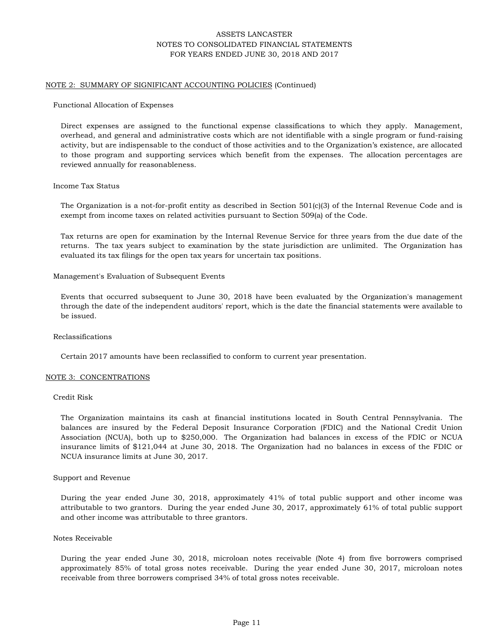#### NOTE 2: SUMMARY OF SIGNIFICANT ACCOUNTING POLICIES (Continued)

Functional Allocation of Expenses

Direct expenses are assigned to the functional expense classifications to which they apply. Management, overhead, and general and administrative costs which are not identifiable with a single program or fund-raising activity, but are indispensable to the conduct of those activities and to the Organization's existence, are allocated to those program and supporting services which benefit from the expenses. The allocation percentages are reviewed annually for reasonableness.

#### Income Tax Status

The Organization is a not-for-profit entity as described in Section 501(c)(3) of the Internal Revenue Code and is exempt from income taxes on related activities pursuant to Section 509(a) of the Code.

Tax returns are open for examination by the Internal Revenue Service for three years from the due date of the returns. The tax years subject to examination by the state jurisdiction are unlimited. The Organization has evaluated its tax filings for the open tax years for uncertain tax positions.

#### Management's Evaluation of Subsequent Events

Events that occurred subsequent to June 30, 2018 have been evaluated by the Organization's management through the date of the independent auditors' report, which is the date the financial statements were available to be issued.

### Reclassifications

Certain 2017 amounts have been reclassified to conform to current year presentation.

#### NOTE 3: CONCENTRATIONS

#### Credit Risk

The Organization maintains its cash at financial institutions located in South Central Pennsylvania. The balances are insured by the Federal Deposit Insurance Corporation (FDIC) and the National Credit Union Association (NCUA), both up to \$250,000. The Organization had balances in excess of the FDIC or NCUA insurance limits of \$121,044 at June 30, 2018. The Organization had no balances in excess of the FDIC or NCUA insurance limits at June 30, 2017.

### Support and Revenue

During the year ended June 30, 2018, approximately 41% of total public support and other income was attributable to two grantors. During the year ended June 30, 2017, approximately 61% of total public support and other income was attributable to three grantors.

#### Notes Receivable

During the year ended June 30, 2018, microloan notes receivable (Note 4) from five borrowers comprised approximately 85% of total gross notes receivable. During the year ended June 30, 2017, microloan notes receivable from three borrowers comprised 34% of total gross notes receivable.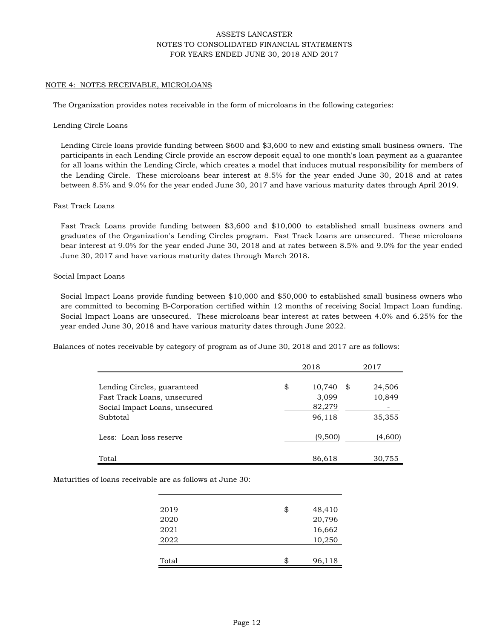#### NOTE 4: NOTES RECEIVABLE, MICROLOANS

The Organization provides notes receivable in the form of microloans in the following categories:

### Lending Circle Loans

Lending Circle loans provide funding between \$600 and \$3,600 to new and existing small business owners. The participants in each Lending Circle provide an escrow deposit equal to one month's loan payment as a guarantee for all loans within the Lending Circle, which creates a model that induces mutual responsibility for members of the Lending Circle. These microloans bear interest at 8.5% for the year ended June 30, 2018 and at rates between 8.5% and 9.0% for the year ended June 30, 2017 and have various maturity dates through April 2019.

#### Fast Track Loans

Fast Track Loans provide funding between \$3,600 and \$10,000 to established small business owners and graduates of the Organization's Lending Circles program. Fast Track Loans are unsecured. These microloans bear interest at 9.0% for the year ended June 30, 2018 and at rates between 8.5% and 9.0% for the year ended June 30, 2017 and have various maturity dates through March 2018.

### Social Impact Loans

Social Impact Loans provide funding between \$10,000 and \$50,000 to established small business owners who are committed to becoming B-Corporation certified within 12 months of receiving Social Impact Loan funding. Social Impact Loans are unsecured. These microloans bear interest at rates between 4.0% and 6.25% for the year ended June 30, 2018 and have various maturity dates through June 2022.

Balances of notes receivable by category of program as of June 30, 2018 and 2017 are as follows:

|                                                                                                          | 2018 |                                     |    | 2017                       |  |  |
|----------------------------------------------------------------------------------------------------------|------|-------------------------------------|----|----------------------------|--|--|
| Lending Circles, guaranteed<br>Fast Track Loans, unsecured<br>Social Impact Loans, unsecured<br>Subtotal | \$   | 10,740<br>3,099<br>82,279<br>96,118 | \$ | 24,506<br>10,849<br>35,355 |  |  |
| Less: Loan loss reserve<br>Total                                                                         |      | (9,500)<br>86,618                   |    | (4,600)<br>30,755          |  |  |

Maturities of loans receivable are as follows at June 30:

| 2019  | \$<br>48,410 |
|-------|--------------|
| 2020  | 20,796       |
| 2021  | 16,662       |
| 2022  | 10,250       |
|       |              |
| Total | \$<br>96,118 |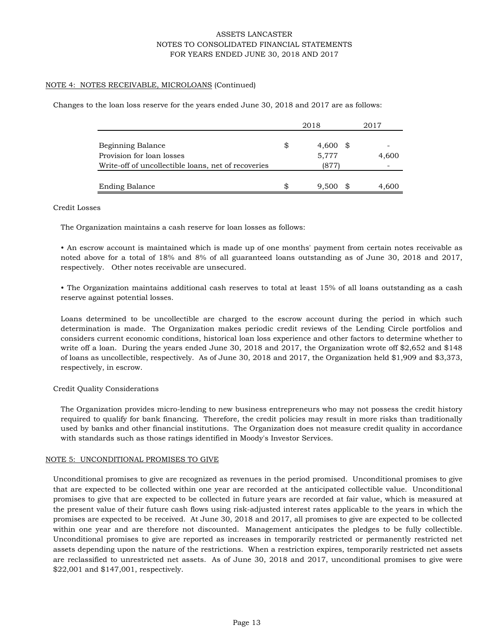### NOTE 4: NOTES RECEIVABLE, MICROLOANS (Continued)

Changes to the loan loss reserve for the years ended June 30, 2018 and 2017 are as follows:

|                                                     | 2018                      | 2017  |  |  |
|-----------------------------------------------------|---------------------------|-------|--|--|
| Beginning Balance                                   | \$<br>$4.600 \text{ }$ \$ |       |  |  |
| Provision for loan losses                           | 5,777                     | 4,600 |  |  |
| Write-off of uncollectible loans, net of recoveries | 1877                      |       |  |  |
|                                                     |                           |       |  |  |
| <b>Ending Balance</b>                               | \$<br>9.500               | 4.600 |  |  |

### Credit Losses

The Organization maintains a cash reserve for loan losses as follows:

• An escrow account is maintained which is made up of one months' payment from certain notes receivable as noted above for a total of 18% and 8% of all guaranteed loans outstanding as of June 30, 2018 and 2017, respectively. Other notes receivable are unsecured.

• The Organization maintains additional cash reserves to total at least 15% of all loans outstanding as a cash reserve against potential losses.

Loans determined to be uncollectible are charged to the escrow account during the period in which such determination is made. The Organization makes periodic credit reviews of the Lending Circle portfolios and considers current economic conditions, historical loan loss experience and other factors to determine whether to write off a loan. During the years ended June 30, 2018 and 2017, the Organization wrote off \$2,652 and \$148 of loans as uncollectible, respectively. As of June 30, 2018 and 2017, the Organization held \$1,909 and \$3,373, respectively, in escrow.

### Credit Quality Considerations

The Organization provides micro-lending to new business entrepreneurs who may not possess the credit history required to qualify for bank financing. Therefore, the credit policies may result in more risks than traditionally used by banks and other financial institutions. The Organization does not measure credit quality in accordance with standards such as those ratings identified in Moody's Investor Services.

### NOTE 5: UNCONDITIONAL PROMISES TO GIVE

Unconditional promises to give are recognized as revenues in the period promised. Unconditional promises to give that are expected to be collected within one year are recorded at the anticipated collectible value. Unconditional promises to give that are expected to be collected in future years are recorded at fair value, which is measured at the present value of their future cash flows using risk-adjusted interest rates applicable to the years in which the promises are expected to be received. At June 30, 2018 and 2017, all promises to give are expected to be collected within one year and are therefore not discounted. Management anticipates the pledges to be fully collectible. Unconditional promises to give are reported as increases in temporarily restricted or permanently restricted net assets depending upon the nature of the restrictions. When a restriction expires, temporarily restricted net assets are reclassified to unrestricted net assets. As of June 30, 2018 and 2017, unconditional promises to give were \$22,001 and \$147,001, respectively.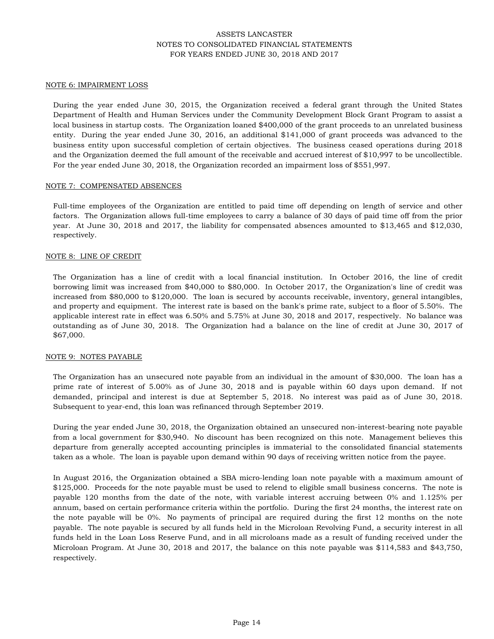#### NOTE 6: IMPAIRMENT LOSS

During the year ended June 30, 2015, the Organization received a federal grant through the United States Department of Health and Human Services under the Community Development Block Grant Program to assist a local business in startup costs. The Organization loaned \$400,000 of the grant proceeds to an unrelated business entity. During the year ended June 30, 2016, an additional \$141,000 of grant proceeds was advanced to the business entity upon successful completion of certain objectives. The business ceased operations during 2018 and the Organization deemed the full amount of the receivable and accrued interest of \$10,997 to be uncollectible. For the year ended June 30, 2018, the Organization recorded an impairment loss of \$551,997.

#### NOTE 7: COMPENSATED ABSENCES

Full-time employees of the Organization are entitled to paid time off depending on length of service and other factors. The Organization allows full-time employees to carry a balance of 30 days of paid time off from the prior year. At June 30, 2018 and 2017, the liability for compensated absences amounted to \$13,465 and \$12,030, respectively.

#### NOTE 8: LINE OF CREDIT

The Organization has a line of credit with a local financial institution. In October 2016, the line of credit borrowing limit was increased from \$40,000 to \$80,000. In October 2017, the Organization's line of credit was increased from \$80,000 to \$120,000. The loan is secured by accounts receivable, inventory, general intangibles, and property and equipment. The interest rate is based on the bank's prime rate, subject to a floor of 5.50%. The applicable interest rate in effect was 6.50% and 5.75% at June 30, 2018 and 2017, respectively. No balance was outstanding as of June 30, 2018. The Organization had a balance on the line of credit at June 30, 2017 of \$67,000.

#### NOTE 9: NOTES PAYABLE

The Organization has an unsecured note payable from an individual in the amount of \$30,000. The loan has a prime rate of interest of 5.00% as of June 30, 2018 and is payable within 60 days upon demand. If not demanded, principal and interest is due at September 5, 2018. No interest was paid as of June 30, 2018. Subsequent to year-end, this loan was refinanced through September 2019.

During the year ended June 30, 2018, the Organization obtained an unsecured non-interest-bearing note payable from a local government for \$30,940. No discount has been recognized on this note. Management believes this departure from generally accepted accounting principles is immaterial to the consolidated financial statements taken as a whole. The loan is payable upon demand within 90 days of receiving written notice from the payee.

In August 2016, the Organization obtained a SBA micro-lending loan note payable with a maximum amount of \$125,000. Proceeds for the note payable must be used to relend to eligible small business concerns. The note is payable 120 months from the date of the note, with variable interest accruing between 0% and 1.125% per annum, based on certain performance criteria within the portfolio. During the first 24 months, the interest rate on the note payable will be 0%. No payments of principal are required during the first 12 months on the note payable. The note payable is secured by all funds held in the Microloan Revolving Fund, a security interest in all funds held in the Loan Loss Reserve Fund, and in all microloans made as a result of funding received under the Microloan Program. At June 30, 2018 and 2017, the balance on this note payable was \$114,583 and \$43,750, respectively.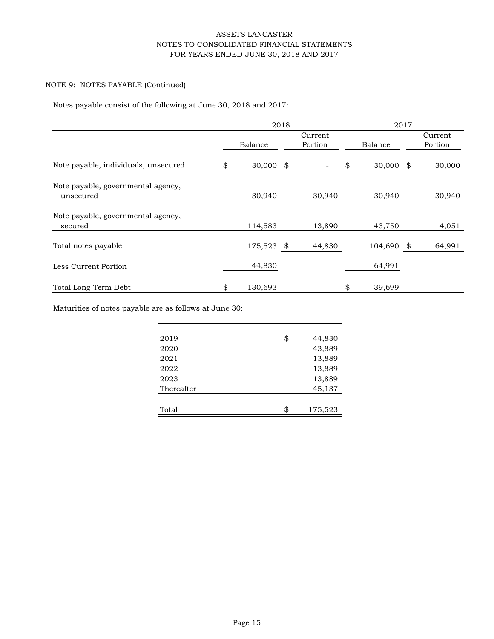# NOTE 9: NOTES PAYABLE (Continued)

Notes payable consist of the following at June 30, 2018 and 2017:

|                                                 |                   | 2018 |                    |                   | 2017 |                    |
|-------------------------------------------------|-------------------|------|--------------------|-------------------|------|--------------------|
|                                                 | Balance           |      | Current<br>Portion | Balance           |      | Current<br>Portion |
| Note payable, individuals, unsecured            | \$<br>$30,000$ \$ |      |                    | \$<br>$30,000$ \$ |      | 30,000             |
| Note payable, governmental agency,<br>unsecured | 30,940            |      | 30,940             | 30,940            |      | 30,940             |
| Note payable, governmental agency,<br>secured   | 114,583           |      | 13,890             | 43,750            |      | 4,051              |
| Total notes payable                             | 175,523 \$        |      | 44,830             | 104,690 \$        |      | 64,991             |
| Less Current Portion                            | 44,830            |      |                    | 64,991            |      |                    |
| Total Long-Term Debt                            | \$<br>130,693     |      |                    | \$<br>39,699      |      |                    |

Maturities of notes payable are as follows at June 30:

| 2019       | \$<br>44,830  |
|------------|---------------|
| 2020       | 43,889        |
| 2021       | 13,889        |
| 2022       | 13,889        |
| 2023       | 13,889        |
| Thereafter | 45,137        |
|            |               |
| Total      | \$<br>175,523 |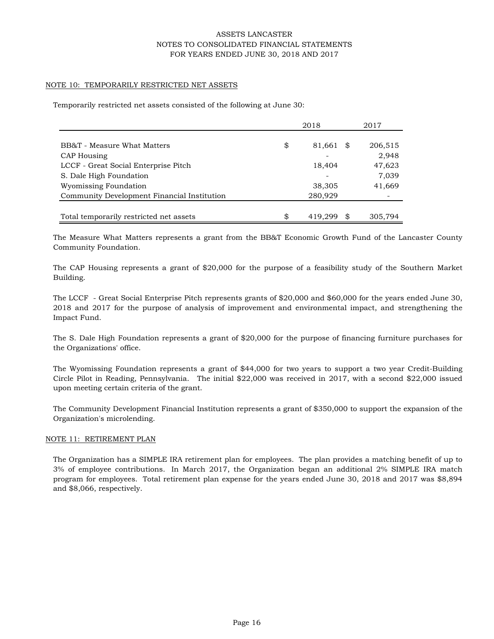### NOTE 10: TEMPORARILY RESTRICTED NET ASSETS

Temporarily restricted net assets consisted of the following at June 30:

|                                             | 2018                 | 2017    |
|---------------------------------------------|----------------------|---------|
|                                             |                      |         |
| BB&T - Measure What Matters                 | \$<br>81,661<br>- \$ | 206,515 |
| CAP Housing                                 |                      | 2,948   |
| LCCF - Great Social Enterprise Pitch        | 18.404               | 47,623  |
| S. Dale High Foundation                     |                      | 7,039   |
| Wyomissing Foundation                       | 38,305               | 41,669  |
| Community Development Financial Institution | 280,929              |         |
|                                             |                      |         |
| Total temporarily restricted net assets     | \$<br>419.299<br>\$. | 305,794 |

The Measure What Matters represents a grant from the BB&T Economic Growth Fund of the Lancaster County Community Foundation.

The CAP Housing represents a grant of \$20,000 for the purpose of a feasibility study of the Southern Market Building.

The LCCF - Great Social Enterprise Pitch represents grants of \$20,000 and \$60,000 for the years ended June 30, 2018 and 2017 for the purpose of analysis of improvement and environmental impact, and strengthening the Impact Fund.

The S. Dale High Foundation represents a grant of \$20,000 for the purpose of financing furniture purchases for the Organizations' office.

The Wyomissing Foundation represents a grant of \$44,000 for two years to support a two year Credit-Building Circle Pilot in Reading, Pennsylvania. The initial \$22,000 was received in 2017, with a second \$22,000 issued upon meeting certain criteria of the grant.

The Community Development Financial Institution represents a grant of \$350,000 to support the expansion of the Organization's microlending.

### NOTE 11: RETIREMENT PLAN

The Organization has a SIMPLE IRA retirement plan for employees. The plan provides a matching benefit of up to 3% of employee contributions. In March 2017, the Organization began an additional 2% SIMPLE IRA match program for employees. Total retirement plan expense for the years ended June 30, 2018 and 2017 was \$8,894 and \$8,066, respectively.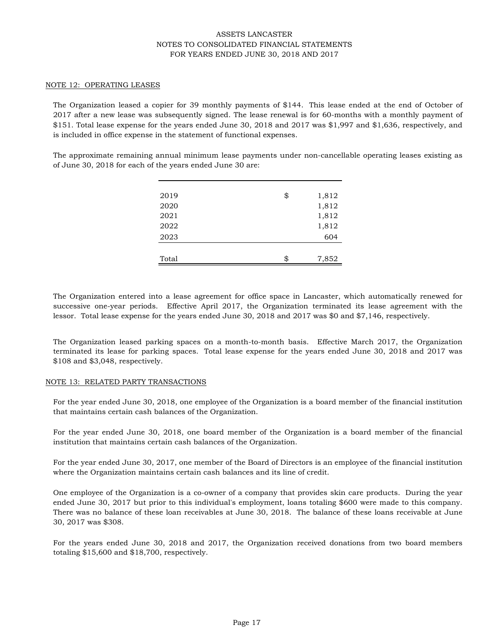#### NOTE 12: OPERATING LEASES

The Organization leased a copier for 39 monthly payments of \$144. This lease ended at the end of October of 2017 after a new lease was subsequently signed. The lease renewal is for 60-months with a monthly payment of \$151. Total lease expense for the years ended June 30, 2018 and 2017 was \$1,997 and \$1,636, respectively, and is included in office expense in the statement of functional expenses.

The approximate remaining annual minimum lease payments under non-cancellable operating leases existing as of June 30, 2018 for each of the years ended June 30 are:

| 2019  | \$<br>1,812 |
|-------|-------------|
| 2020  | 1,812       |
| 2021  | 1,812       |
| 2022  | 1,812       |
| 2023  | 604         |
|       |             |
| Total | \$<br>7,852 |
|       |             |

The Organization entered into a lease agreement for office space in Lancaster, which automatically renewed for successive one-year periods. Effective April 2017, the Organization terminated its lease agreement with the lessor. Total lease expense for the years ended June 30, 2018 and 2017 was \$0 and \$7,146, respectively.

The Organization leased parking spaces on a month-to-month basis. Effective March 2017, the Organization terminated its lease for parking spaces. Total lease expense for the years ended June 30, 2018 and 2017 was \$108 and \$3,048, respectively.

#### NOTE 13: RELATED PARTY TRANSACTIONS

For the year ended June 30, 2018, one employee of the Organization is a board member of the financial institution that maintains certain cash balances of the Organization.

For the year ended June 30, 2018, one board member of the Organization is a board member of the financial institution that maintains certain cash balances of the Organization.

For the year ended June 30, 2017, one member of the Board of Directors is an employee of the financial institution where the Organization maintains certain cash balances and its line of credit.

One employee of the Organization is a co-owner of a company that provides skin care products. During the year ended June 30, 2017 but prior to this individual's employment, loans totaling \$600 were made to this company. There was no balance of these loan receivables at June 30, 2018. The balance of these loans receivable at June 30, 2017 was \$308.

For the years ended June 30, 2018 and 2017, the Organization received donations from two board members totaling \$15,600 and \$18,700, respectively.